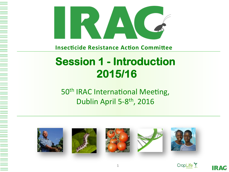

**Insecticide Resistance Action Committee** 

## **Session 1 - Introduction 2015/16**

50<sup>th</sup> IRAC International Meeting, Dublin April 5-8<sup>th</sup>, 2016













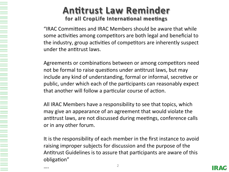#### **Antitrust Law Reminder** for all CropLife International meetings

"IRAC Committees and IRAC Members should be aware that while some activities among competitors are both legal and beneficial to the industry, group activities of competitors are inherently suspect under the antitrust laws.

Agreements or combinations between or among competitors need not be formal to raise questions under antitrust laws, but may include any kind of understanding, formal or informal, secretive or public, under which each of the participants can reasonably expect that another will follow a particular course of action.

All IRAC Members have a responsibility to see that topics, which may give an appearance of an agreement that would violate the antitrust laws, are not discussed during meetings, conference calls or in any other forum.

It is the responsibility of each member in the first instance to avoid raising improper subjects for discussion and the purpose of the Antitrust Guidelines is to assure that participants are aware of this obligation"

….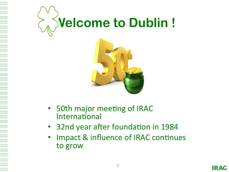

- 50th major meeting of IRAC International
- 32nd year after foundation in 1984
- Impact & influence of IRAC continues to grow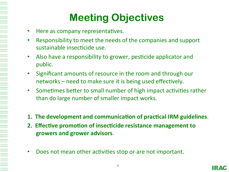# **Meeting Objectives**

- Here as company representatives.
- Responsibility to meet the needs of the companies and support sustainable insecticide use.
- Also have a responsibility to grower, pesticide applicator and public.
- Significant amounts of resource in the room and through our networks  $-$  need to make sure it is being used effectively.
- Sometimes better to small number of high impact activities rather than do large number of smaller impact works.
- **1. The development and communication of practical IRM guidelines.**
- **2. Effective promotion of insecticide resistance management to growers and grower advisors**.
- Does not mean other activities stop or are not important.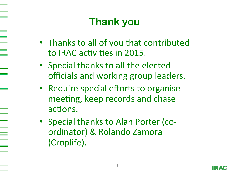# **Thank you**

- Thanks to all of you that contributed to IRAC activities in 2015.
- Special thanks to all the elected officials and working group leaders.
- Require special efforts to organise meeting, keep records and chase actions.
- Special thanks to Alan Porter (coordinator) & Rolando Zamora (Croplife).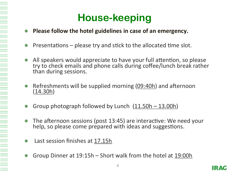## **House-keeping**

- **Please follow the hotel guidelines in case of an emergency.**
- Presentations  $-$  please try and stick to the allocated time slot.
- All speakers would appreciate to have your full attention, so please try to check emails and phone calls during coffee/lunch break rather than during sessions.
- Refreshments will be supplied morning  $(09:40h)$  and afternoon (14.30h)
- Group photograph followed by Lunch  $(11.50h 13.00h)$
- The afternoon sessions (post 13:45) are interactive: We need your help, so please come prepared with ideas and suggestions.
- Last session finishes at 17.15h

Group Dinner at 19:15h – Short walk from the hotel at 19:00h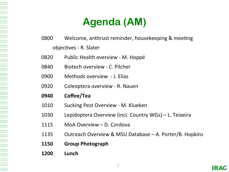# **Agenda (AM)**

- 0800 Welcome, antitrust reminder, housekeeping & meeting objectives - R. Slater
- 0820 Public Health overview M. Hoppé
- 0840 Biotech overview C. Pilcher
- 0900 Methods overview J. Elias
- 0920 Coleoptera overview R. Nauen
- **0940 Coffee/Tea**
- 1010 Sucking Pest Overview M. Klueken
- 1030 Lepidoptera Overview (incl. Country WGs) L. Teixeira
- 1115 MoA Overview D. Cordova
- 1135 Outreach Overview & MSU Database A. Porter/B. Hopkins
- **1150 Group Photograph**
- **1200 Lunch**

HE ALL A BELLEVILLE AND THE REAL PROPERTY AND RELEASED FOR A REAL PROPERTY AND RELEASED FOR A REAL PROPERTY AND